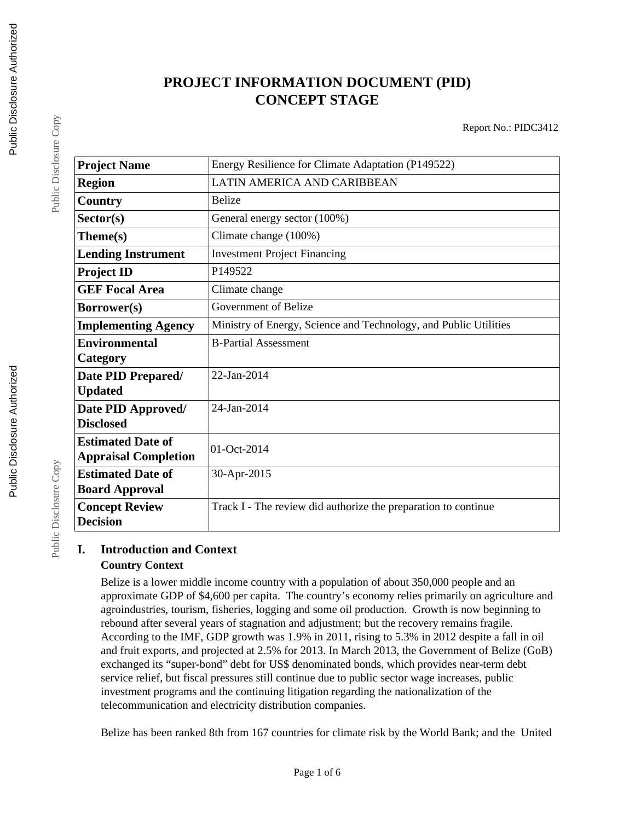# **PROJECT INFORMATION DOCUMENT (PID) CONCEPT STAGE**

Report No.: PIDC3412

| <b>Project Name</b>         | Energy Resilience for Climate Adaptation (P149522)               |  |  |
|-----------------------------|------------------------------------------------------------------|--|--|
| <b>Region</b>               | LATIN AMERICA AND CARIBBEAN                                      |  |  |
| Country                     | <b>Belize</b>                                                    |  |  |
| Sector(s)                   | General energy sector (100%)                                     |  |  |
| Theme(s)                    | Climate change (100%)                                            |  |  |
| <b>Lending Instrument</b>   | <b>Investment Project Financing</b>                              |  |  |
| <b>Project ID</b>           | P <sub>149522</sub>                                              |  |  |
| <b>GEF Focal Area</b>       | Climate change                                                   |  |  |
| Borrower(s)                 | Government of Belize                                             |  |  |
| <b>Implementing Agency</b>  | Ministry of Energy, Science and Technology, and Public Utilities |  |  |
| <b>Environmental</b>        | <b>B-Partial Assessment</b>                                      |  |  |
| Category                    |                                                                  |  |  |
| Date PID Prepared/          | 22-Jan-2014                                                      |  |  |
| <b>Updated</b>              |                                                                  |  |  |
| Date PID Approved/          | 24-Jan-2014                                                      |  |  |
| <b>Disclosed</b>            |                                                                  |  |  |
| <b>Estimated Date of</b>    | $ 01 - Oct-2014 $                                                |  |  |
| <b>Appraisal Completion</b> |                                                                  |  |  |
| <b>Estimated Date of</b>    | 30-Apr-2015                                                      |  |  |
| <b>Board Approval</b>       |                                                                  |  |  |
| <b>Concept Review</b>       | Track I - The review did authorize the preparation to continue   |  |  |
| <b>Decision</b>             |                                                                  |  |  |

## **I. Introduction and Context**

#### **Country Context**

Belize is a lower middle income country with a population of about 350,000 people and an approximate GDP of \$4,600 per capita. The country's economy relies primarily on agriculture and agroindustries, tourism, fisheries, logging and some oil production. Growth is now beginning to rebound after several years of stagnation and adjustment; but the recovery remains fragile. According to the IMF, GDP growth was 1.9% in 2011, rising to 5.3% in 2012 despite a fall in oil and fruit exports, and projected at 2.5% for 2013. In March 2013, the Government of Belize (GoB) exchanged its "super-bond" debt for US\$ denominated bonds, which provides near-term debt service relief, but fiscal pressures still continue due to public sector wage increases, public investment programs and the continuing litigation regarding the nationalization of the telecommunication and electricity distribution companies.

Belize has been ranked 8th from 167 countries for climate risk by the World Bank; and the United

Public Disclosure Copy

Public Disclosure Copy

Public Disclosure Copy

Public Disclosure Copy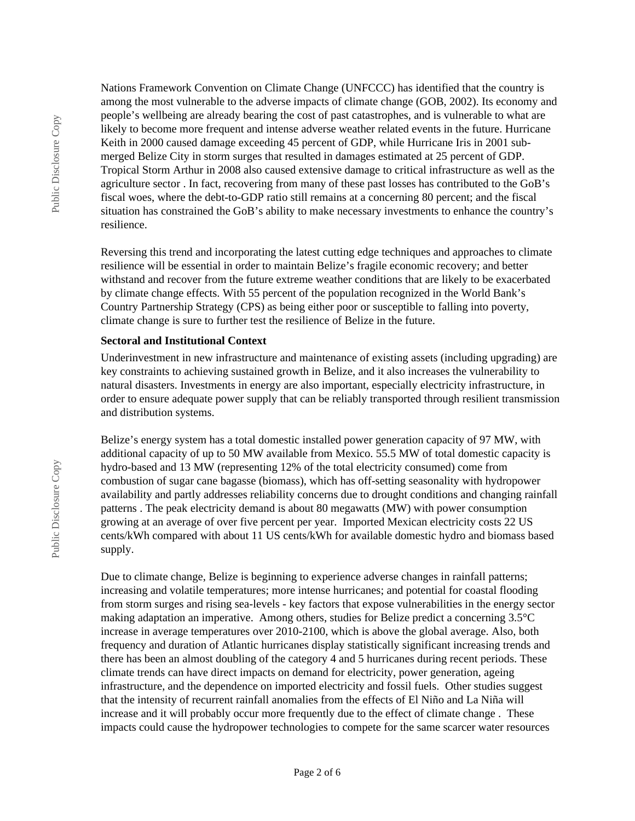Nations Framework Convention on Climate Change (UNFCCC) has identified that the country is among the most vulnerable to the adverse impacts of climate change (GOB, 2002). Its economy and people's wellbeing are already bearing the cost of past catastrophes, and is vulnerable to what are likely to become more frequent and intense adverse weather related events in the future. Hurricane Keith in 2000 caused damage exceeding 45 percent of GDP, while Hurricane Iris in 2001 submerged Belize City in storm surges that resulted in damages estimated at 25 percent of GDP. Tropical Storm Arthur in 2008 also caused extensive damage to critical infrastructure as well as the agriculture sector . In fact, recovering from many of these past losses has contributed to the GoB's fiscal woes, where the debt-to-GDP ratio still remains at a concerning 80 percent; and the fiscal situation has constrained the GoB's ability to make necessary investments to enhance the country's resilience.

Reversing this trend and incorporating the latest cutting edge techniques and approaches to climate resilience will be essential in order to maintain Belize's fragile economic recovery; and better withstand and recover from the future extreme weather conditions that are likely to be exacerbated by climate change effects. With 55 percent of the population recognized in the World Bank's Country Partnership Strategy (CPS) as being either poor or susceptible to falling into poverty, climate change is sure to further test the resilience of Belize in the future.

#### **Sectoral and Institutional Context**

Underinvestment in new infrastructure and maintenance of existing assets (including upgrading) are key constraints to achieving sustained growth in Belize, and it also increases the vulnerability to natural disasters. Investments in energy are also important, especially electricity infrastructure, in order to ensure adequate power supply that can be reliably transported through resilient transmission and distribution systems.

Belize's energy system has a total domestic installed power generation capacity of 97 MW, with additional capacity of up to 50 MW available from Mexico. 55.5 MW of total domestic capacity is hydro-based and 13 MW (representing 12% of the total electricity consumed) come from combustion of sugar cane bagasse (biomass), which has off-setting seasonality with hydropower availability and partly addresses reliability concerns due to drought conditions and changing rainfall patterns . The peak electricity demand is about 80 megawatts (MW) with power consumption growing at an average of over five percent per year. Imported Mexican electricity costs 22 US cents/kWh compared with about 11 US cents/kWh for available domestic hydro and biomass based supply.

Due to climate change, Belize is beginning to experience adverse changes in rainfall patterns; increasing and volatile temperatures; more intense hurricanes; and potential for coastal flooding from storm surges and rising sea-levels - key factors that expose vulnerabilities in the energy sector making adaptation an imperative. Among others, studies for Belize predict a concerning 3.5°C increase in average temperatures over 2010-2100, which is above the global average. Also, both frequency and duration of Atlantic hurricanes display statistically significant increasing trends and there has been an almost doubling of the category 4 and 5 hurricanes during recent periods. These climate trends can have direct impacts on demand for electricity, power generation, ageing infrastructure, and the dependence on imported electricity and fossil fuels. Other studies suggest that the intensity of recurrent rainfall anomalies from the effects of El Niño and La Niña will increase and it will probably occur more frequently due to the effect of climate change . These impacts could cause the hydropower technologies to compete for the same scarcer water resources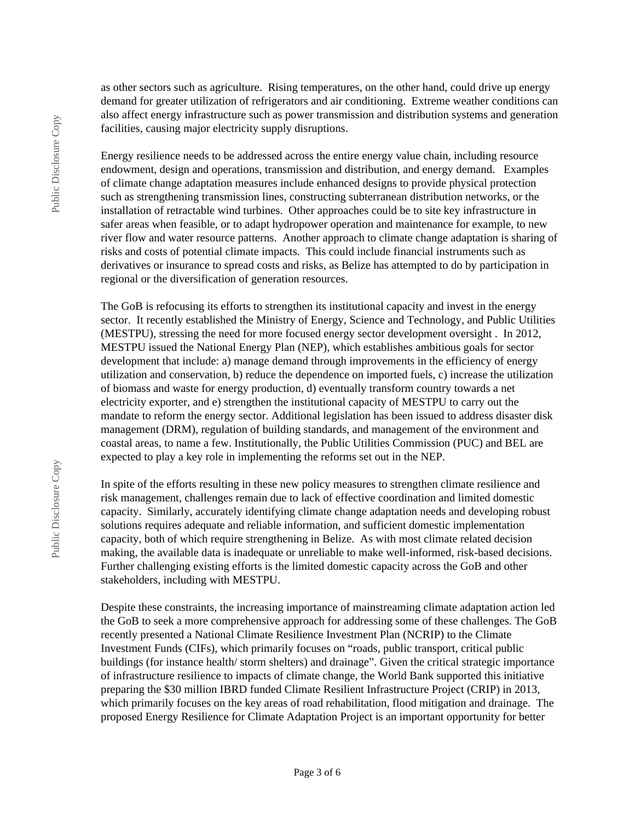as other sectors such as agriculture. Rising temperatures, on the other hand, could drive up energy demand for greater utilization of refrigerators and air conditioning. Extreme weather conditions can also affect energy infrastructure such as power transmission and distribution systems and generation facilities, causing major electricity supply disruptions.

Energy resilience needs to be addressed across the entire energy value chain, including resource endowment, design and operations, transmission and distribution, and energy demand. Examples of climate change adaptation measures include enhanced designs to provide physical protection such as strengthening transmission lines, constructing subterranean distribution networks, or the installation of retractable wind turbines. Other approaches could be to site key infrastructure in safer areas when feasible, or to adapt hydropower operation and maintenance for example, to new river flow and water resource patterns. Another approach to climate change adaptation is sharing of risks and costs of potential climate impacts. This could include financial instruments such as derivatives or insurance to spread costs and risks, as Belize has attempted to do by participation in regional or the diversification of generation resources.

The GoB is refocusing its efforts to strengthen its institutional capacity and invest in the energy sector. It recently established the Ministry of Energy, Science and Technology, and Public Utilities (MESTPU), stressing the need for more focused energy sector development oversight . In 2012, MESTPU issued the National Energy Plan (NEP), which establishes ambitious goals for sector development that include: a) manage demand through improvements in the efficiency of energy utilization and conservation, b) reduce the dependence on imported fuels, c) increase the utilization of biomass and waste for energy production, d) eventually transform country towards a net electricity exporter, and e) strengthen the institutional capacity of MESTPU to carry out the mandate to reform the energy sector. Additional legislation has been issued to address disaster disk management (DRM), regulation of building standards, and management of the environment and coastal areas, to name a few. Institutionally, the Public Utilities Commission (PUC) and BEL are expected to play a key role in implementing the reforms set out in the NEP.

In spite of the efforts resulting in these new policy measures to strengthen climate resilience and risk management, challenges remain due to lack of effective coordination and limited domestic capacity. Similarly, accurately identifying climate change adaptation needs and developing robust solutions requires adequate and reliable information, and sufficient domestic implementation capacity, both of which require strengthening in Belize. As with most climate related decision making, the available data is inadequate or unreliable to make well-informed, risk-based decisions. Further challenging existing efforts is the limited domestic capacity across the GoB and other stakeholders, including with MESTPU.

Despite these constraints, the increasing importance of mainstreaming climate adaptation action led the GoB to seek a more comprehensive approach for addressing some of these challenges. The GoB recently presented a National Climate Resilience Investment Plan (NCRIP) to the Climate Investment Funds (CIFs), which primarily focuses on "roads, public transport, critical public buildings (for instance health/ storm shelters) and drainage". Given the critical strategic importance of infrastructure resilience to impacts of climate change, the World Bank supported this initiative preparing the \$30 million IBRD funded Climate Resilient Infrastructure Project (CRIP) in 2013, which primarily focuses on the key areas of road rehabilitation, flood mitigation and drainage. The proposed Energy Resilience for Climate Adaptation Project is an important opportunity for better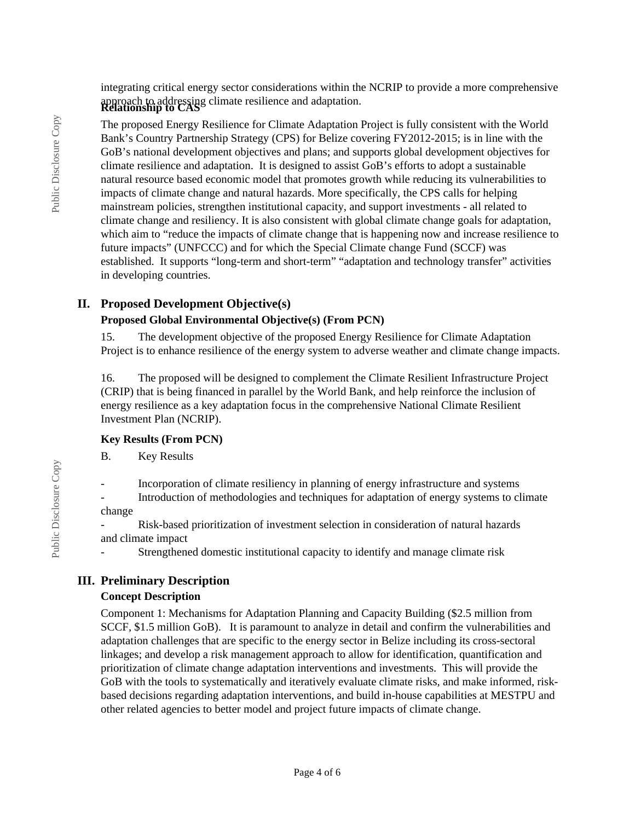integrating critical energy sector considerations within the NCRIP to provide a more comprehensive approach to addressing climate resilience and adaptation. **Relationship to CAS**

The proposed Energy Resilience for Climate Adaptation Project is fully consistent with the World Bank's Country Partnership Strategy (CPS) for Belize covering FY2012-2015; is in line with the GoB's national development objectives and plans; and supports global development objectives for climate resilience and adaptation. It is designed to assist GoB's efforts to adopt a sustainable natural resource based economic model that promotes growth while reducing its vulnerabilities to impacts of climate change and natural hazards. More specifically, the CPS calls for helping mainstream policies, strengthen institutional capacity, and support investments - all related to climate change and resiliency. It is also consistent with global climate change goals for adaptation, which aim to "reduce the impacts of climate change that is happening now and increase resilience to future impacts" (UNFCCC) and for which the Special Climate change Fund (SCCF) was established. It supports "long-term and short-term" "adaptation and technology transfer" activities in developing countries.

### **II. Proposed Development Objective(s)**

#### **Proposed Global Environmental Objective(s) (From PCN)**

15. The development objective of the proposed Energy Resilience for Climate Adaptation Project is to enhance resilience of the energy system to adverse weather and climate change impacts.

16. The proposed will be designed to complement the Climate Resilient Infrastructure Project (CRIP) that is being financed in parallel by the World Bank, and help reinforce the inclusion of energy resilience as a key adaptation focus in the comprehensive National Climate Resilient Investment Plan (NCRIP).

#### **Key Results (From PCN)**

B. Key Results

- Incorporation of climate resiliency in planning of energy infrastructure and systems - Introduction of methodologies and techniques for adaptation of energy systems to climate

change

- Risk-based prioritization of investment selection in consideration of natural hazards and climate impact

Strengthened domestic institutional capacity to identify and manage climate risk

### **III. Preliminary Description**

#### **Concept Description**

Component 1: Mechanisms for Adaptation Planning and Capacity Building (\$2.5 million from SCCF, \$1.5 million GoB). It is paramount to analyze in detail and confirm the vulnerabilities and adaptation challenges that are specific to the energy sector in Belize including its cross-sectoral linkages; and develop a risk management approach to allow for identification, quantification and prioritization of climate change adaptation interventions and investments. This will provide the GoB with the tools to systematically and iteratively evaluate climate risks, and make informed, riskbased decisions regarding adaptation interventions, and build in-house capabilities at MESTPU and other related agencies to better model and project future impacts of climate change.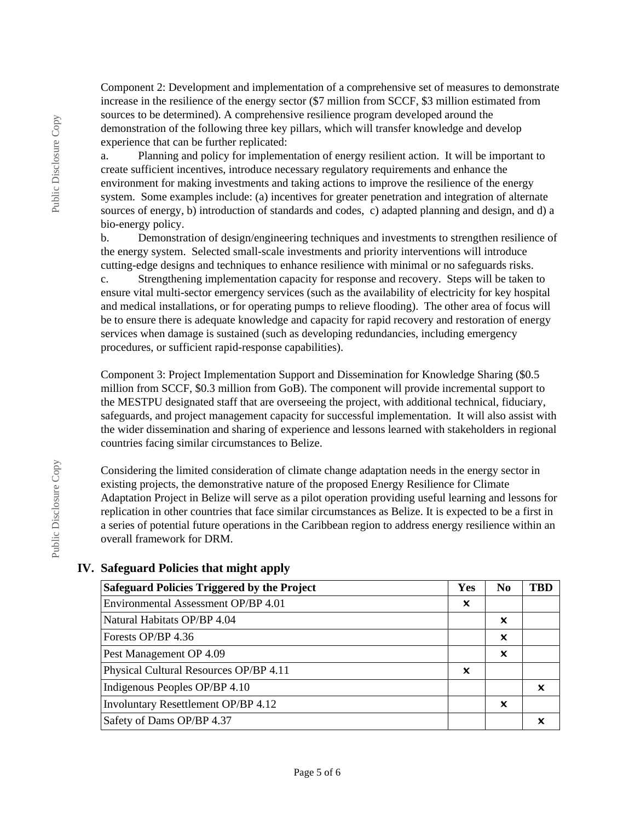Component 2: Development and implementation of a comprehensive set of measures to demonstrate increase in the resilience of the energy sector (\$7 million from SCCF, \$3 million estimated from sources to be determined). A comprehensive resilience program developed around the demonstration of the following three key pillars, which will transfer knowledge and develop experience that can be further replicated:

a. Planning and policy for implementation of energy resilient action. It will be important to create sufficient incentives, introduce necessary regulatory requirements and enhance the environment for making investments and taking actions to improve the resilience of the energy system. Some examples include: (a) incentives for greater penetration and integration of alternate sources of energy, b) introduction of standards and codes, c) adapted planning and design, and d) a bio-energy policy.

b. Demonstration of design/engineering techniques and investments to strengthen resilience of the energy system. Selected small-scale investments and priority interventions will introduce cutting-edge designs and techniques to enhance resilience with minimal or no safeguards risks.

c. Strengthening implementation capacity for response and recovery. Steps will be taken to ensure vital multi-sector emergency services (such as the availability of electricity for key hospital and medical installations, or for operating pumps to relieve flooding). The other area of focus will be to ensure there is adequate knowledge and capacity for rapid recovery and restoration of energy services when damage is sustained (such as developing redundancies, including emergency procedures, or sufficient rapid-response capabilities).

Component 3: Project Implementation Support and Dissemination for Knowledge Sharing (\$0.5 million from SCCF, \$0.3 million from GoB). The component will provide incremental support to the MESTPU designated staff that are overseeing the project, with additional technical, fiduciary, safeguards, and project management capacity for successful implementation. It will also assist with the wider dissemination and sharing of experience and lessons learned with stakeholders in regional countries facing similar circumstances to Belize.

Considering the limited consideration of climate change adaptation needs in the energy sector in existing projects, the demonstrative nature of the proposed Energy Resilience for Climate Adaptation Project in Belize will serve as a pilot operation providing useful learning and lessons for replication in other countries that face similar circumstances as Belize. It is expected to be a first in a series of potential future operations in the Caribbean region to address energy resilience within an overall framework for DRM.

#### **IV. Safeguard Policies that might apply**

| <b>Safeguard Policies Triggered by the Project</b> |   | N <sub>0</sub> | <b>TBD</b> |
|----------------------------------------------------|---|----------------|------------|
| Environmental Assessment OP/BP 4.01                | X |                |            |
| Natural Habitats OP/BP 4.04                        |   | x              |            |
| Forests OP/BP 4.36                                 |   | X              |            |
| Pest Management OP 4.09                            |   | X              |            |
| Physical Cultural Resources OP/BP 4.11             | X |                |            |
| Indigenous Peoples OP/BP 4.10                      |   |                | x          |
| Involuntary Resettlement OP/BP 4.12                |   | X              |            |
| Safety of Dams OP/BP 4.37                          |   |                |            |